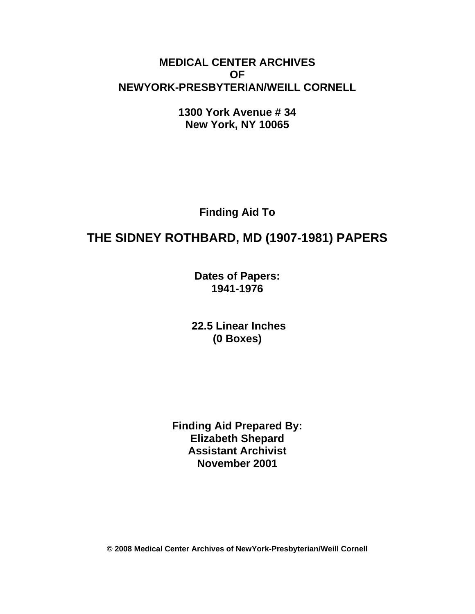# **MEDICAL CENTER ARCHIVES OF NEWYORK-PRESBYTERIAN/WEILL CORNELL**

**1300 York Avenue # 34 New York, NY 10065** 

**Finding Aid To** 

# **THE SIDNEY ROTHBARD, MD (1907-1981) PAPERS**

**Dates of Papers: 1941-1976** 

 **22.5 Linear Inches (0 Boxes)** 

**Finding Aid Prepared By: Elizabeth Shepard Assistant Archivist November 2001** 

**© 2008 Medical Center Archives of NewYork-Presbyterian/Weill Cornell**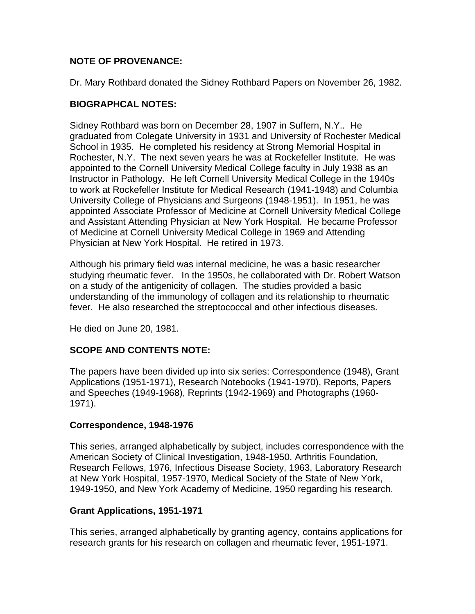# **NOTE OF PROVENANCE:**

Dr. Mary Rothbard donated the Sidney Rothbard Papers on November 26, 1982.

# **BIOGRAPHCAL NOTES:**

Sidney Rothbard was born on December 28, 1907 in Suffern, N.Y.. He graduated from Colegate University in 1931 and University of Rochester Medical School in 1935. He completed his residency at Strong Memorial Hospital in Rochester, N.Y. The next seven years he was at Rockefeller Institute. He was appointed to the Cornell University Medical College faculty in July 1938 as an Instructor in Pathology. He left Cornell University Medical College in the 1940s to work at Rockefeller Institute for Medical Research (1941-1948) and Columbia University College of Physicians and Surgeons (1948-1951). In 1951, he was appointed Associate Professor of Medicine at Cornell University Medical College and Assistant Attending Physician at New York Hospital. He became Professor of Medicine at Cornell University Medical College in 1969 and Attending Physician at New York Hospital. He retired in 1973.

Although his primary field was internal medicine, he was a basic researcher studying rheumatic fever. In the 1950s, he collaborated with Dr. Robert Watson on a study of the antigenicity of collagen. The studies provided a basic understanding of the immunology of collagen and its relationship to rheumatic fever. He also researched the streptococcal and other infectious diseases.

He died on June 20, 1981.

# **SCOPE AND CONTENTS NOTE:**

The papers have been divided up into six series: Correspondence (1948), Grant Applications (1951-1971), Research Notebooks (1941-1970), Reports, Papers and Speeches (1949-1968), Reprints (1942-1969) and Photographs (1960- 1971).

# **Correspondence, 1948-1976**

This series, arranged alphabetically by subject, includes correspondence with the American Society of Clinical Investigation, 1948-1950, Arthritis Foundation, Research Fellows, 1976, Infectious Disease Society, 1963, Laboratory Research at New York Hospital, 1957-1970, Medical Society of the State of New York, 1949-1950, and New York Academy of Medicine, 1950 regarding his research.

# **Grant Applications, 1951-1971**

This series, arranged alphabetically by granting agency, contains applications for research grants for his research on collagen and rheumatic fever, 1951-1971.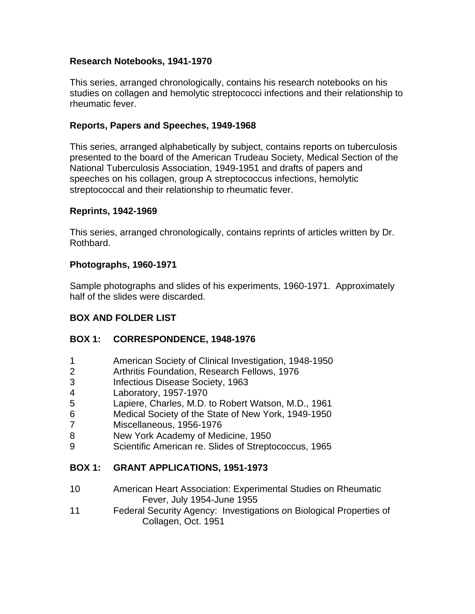#### **Research Notebooks, 1941-1970**

This series, arranged chronologically, contains his research notebooks on his studies on collagen and hemolytic streptococci infections and their relationship to rheumatic fever.

#### **Reports, Papers and Speeches, 1949-1968**

This series, arranged alphabetically by subject, contains reports on tuberculosis presented to the board of the American Trudeau Society, Medical Section of the National Tuberculosis Association, 1949-1951 and drafts of papers and speeches on his collagen, group A streptococcus infections, hemolytic streptococcal and their relationship to rheumatic fever.

#### **Reprints, 1942-1969**

This series, arranged chronologically, contains reprints of articles written by Dr. Rothbard.

#### **Photographs, 1960-1971**

Sample photographs and slides of his experiments, 1960-1971. Approximately half of the slides were discarded.

# **BOX AND FOLDER LIST**

#### **BOX 1: CORRESPONDENCE, 1948-1976**

- 1 American Society of Clinical Investigation, 1948-1950
- 2 Arthritis Foundation, Research Fellows, 1976
- 3 Infectious Disease Society, 1963
- 4 Laboratory, 1957-1970
- 5 Lapiere, Charles, M.D. to Robert Watson, M.D., 1961
- 6 Medical Society of the State of New York, 1949-1950
- 7 Miscellaneous, 1956-1976
- 8 New York Academy of Medicine, 1950
- 9 Scientific American re. Slides of Streptococcus, 1965

#### **BOX 1: GRANT APPLICATIONS, 1951-1973**

- 10 American Heart Association: Experimental Studies on Rheumatic Fever, July 1954-June 1955
- 11 Federal Security Agency: Investigations on Biological Properties of Collagen, Oct. 1951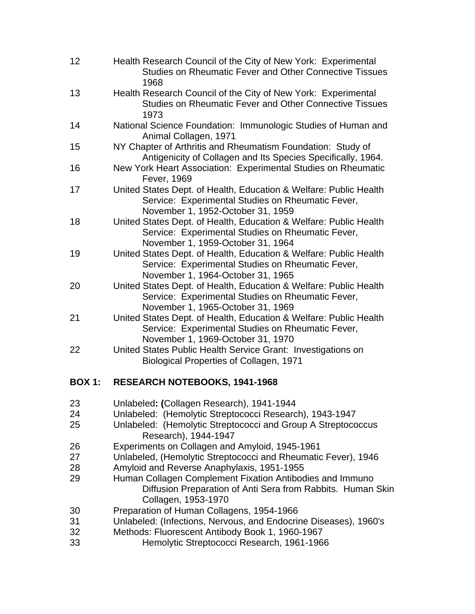| 12 | Health Research Council of the City of New York: Experimental<br>Studies on Rheumatic Fever and Other Connective Tissues<br>1968                            |
|----|-------------------------------------------------------------------------------------------------------------------------------------------------------------|
| 13 | Health Research Council of the City of New York: Experimental<br><b>Studies on Rheumatic Fever and Other Connective Tissues</b><br>1973                     |
| 14 | National Science Foundation: Immunologic Studies of Human and<br>Animal Collagen, 1971                                                                      |
| 15 | NY Chapter of Arthritis and Rheumatism Foundation: Study of<br>Antigenicity of Collagen and Its Species Specifically, 1964.                                 |
| 16 | New York Heart Association: Experimental Studies on Rheumatic<br>Fever, 1969                                                                                |
| 17 | United States Dept. of Health, Education & Welfare: Public Health<br>Service: Experimental Studies on Rheumatic Fever,<br>November 1, 1952-October 31, 1959 |
| 18 | United States Dept. of Health, Education & Welfare: Public Health<br>Service: Experimental Studies on Rheumatic Fever,<br>November 1, 1959-October 31, 1964 |
| 19 | United States Dept. of Health, Education & Welfare: Public Health<br>Service: Experimental Studies on Rheumatic Fever,<br>November 1, 1964-October 31, 1965 |
| 20 | United States Dept. of Health, Education & Welfare: Public Health<br>Service: Experimental Studies on Rheumatic Fever,<br>November 1, 1965-October 31, 1969 |
| 21 | United States Dept. of Health, Education & Welfare: Public Health<br>Service: Experimental Studies on Rheumatic Fever,<br>November 1, 1969-October 31, 1970 |
| 22 | United States Public Health Service Grant: Investigations on<br>Biological Properties of Collagen, 1971                                                     |

# **BOX 1: RESEARCH NOTEBOOKS, 1941-1968**

- 23 Unlabeled**: (**Collagen Research), 1941-1944
- 24 Unlabeled: (Hemolytic Streptococci Research), 1943-1947
- 25 Unlabeled: (Hemolytic Streptococci and Group A Streptococcus Research), 1944-1947
- 26 Experiments on Collagen and Amyloid, 1945-1961
- 27 Unlabeled, (Hemolytic Streptococci and Rheumatic Fever), 1946
- 28 Amyloid and Reverse Anaphylaxis, 1951-1955
- 29 Human Collagen Complement Fixation Antibodies and Immuno Diffusion Preparation of Anti Sera from Rabbits. Human Skin Collagen, 1953-1970
- 30 Preparation of Human Collagens, 1954-1966
- 31 Unlabeled: (Infections, Nervous, and Endocrine Diseases), 1960's
- 32 Methods: Fluorescent Antibody Book 1, 1960-1967
- 33 Hemolytic Streptococci Research, 1961-1966